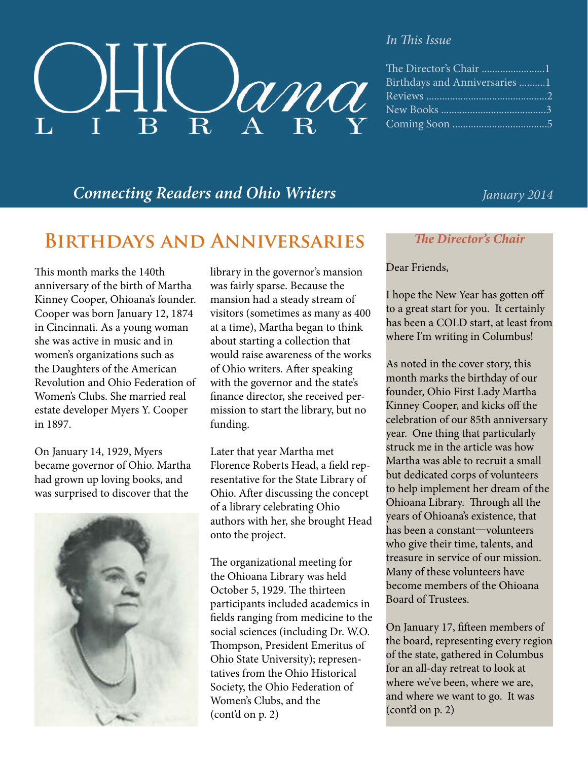

#### *In This Issue*

| Birthdays and Anniversaries 1 |
|-------------------------------|
|                               |
|                               |
|                               |

### *Connecting Readers and Ohio Writers January 2014*

## **Birthdays and Anniversaries**

This month marks the 140th anniversary of the birth of Martha Kinney Cooper, Ohioana's founder. Cooper was born January 12, 1874 in Cincinnati. As a young woman she was active in music and in women's organizations such as the Daughters of the American Revolution and Ohio Federation of Women's Clubs. She married real estate developer Myers Y. Cooper in 1897.

On January 14, 1929, Myers became governor of Ohio. Martha had grown up loving books, and was surprised to discover that the



library in the governor's mansion was fairly sparse. Because the mansion had a steady stream of visitors (sometimes as many as 400 at a time), Martha began to think about starting a collection that would raise awareness of the works of Ohio writers. After speaking with the governor and the state's finance director, she received permission to start the library, but no funding.

Later that year Martha met Florence Roberts Head, a field representative for the State Library of Ohio. After discussing the concept of a library celebrating Ohio authors with her, she brought Head onto the project.

The organizational meeting for the Ohioana Library was held October 5, 1929. The thirteen participants included academics in fields ranging from medicine to the social sciences (including Dr. W.O. Thompson, President Emeritus of Ohio State University); representatives from the Ohio Historical Society, the Ohio Federation of Women's Clubs, and the (cont'd on p. 2)

### *The Director's Chair*

### Dear Friends,

I hope the New Year has gotten off to a great start for you. It certainly has been a COLD start, at least from where I'm writing in Columbus!

As noted in the cover story, this month marks the birthday of our founder, Ohio First Lady Martha Kinney Cooper, and kicks off the celebration of our 85th anniversary year. One thing that particularly struck me in the article was how Martha was able to recruit a small but dedicated corps of volunteers to help implement her dream of the Ohioana Library. Through all the years of Ohioana's existence, that has been a constant—volunteers who give their time, talents, and treasure in service of our mission. Many of these volunteers have become members of the Ohioana Board of Trustees.

On January 17, fifteen members of the board, representing every region of the state, gathered in Columbus for an all-day retreat to look at where we've been, where we are, and where we want to go. It was (cont'd on p. 2)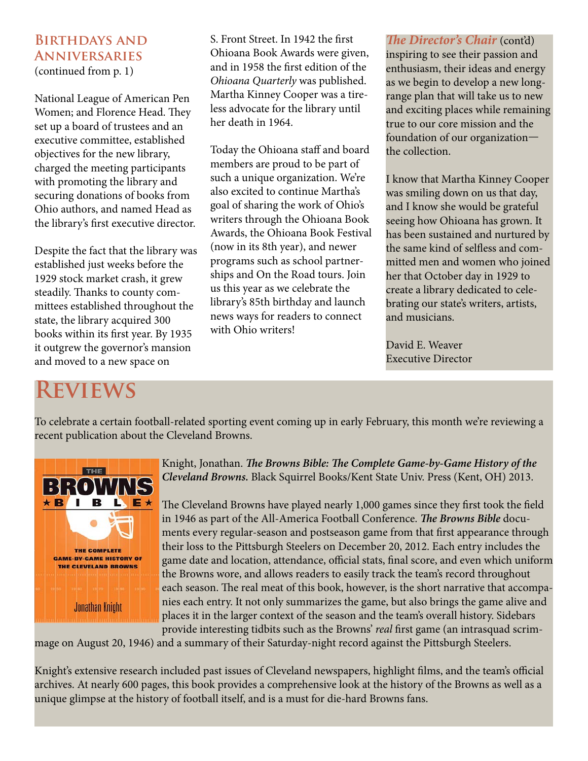### **Birthdays and Anniversaries**

(continued from p. 1)

National League of American Pen Women; and Florence Head. They set up a board of trustees and an executive committee, established objectives for the new library, charged the meeting participants with promoting the library and securing donations of books from Ohio authors, and named Head as the library's first executive director.

Despite the fact that the library was established just weeks before the 1929 stock market crash, it grew steadily. Thanks to county committees established throughout the state, the library acquired 300 books within its first year. By 1935 it outgrew the governor's mansion and moved to a new space on

S. Front Street. In 1942 the first Ohioana Book Awards were given, and in 1958 the first edition of the *Ohioana Quarterly* was published. Martha Kinney Cooper was a tireless advocate for the library until her death in 1964.

Today the Ohioana staff and board members are proud to be part of such a unique organization. We're also excited to continue Martha's goal of sharing the work of Ohio's writers through the Ohioana Book Awards, the Ohioana Book Festival (now in its 8th year), and newer programs such as school partnerships and On the Road tours. Join us this year as we celebrate the library's 85th birthday and launch news ways for readers to connect with Ohio writers!

*The Director's Chair (cont'd)* inspiring to see their passion and enthusiasm, their ideas and energy as we begin to develop a new longrange plan that will take us to new and exciting places while remaining true to our core mission and the foundation of our organization the collection.

I know that Martha Kinney Cooper was smiling down on us that day, and I know she would be grateful seeing how Ohioana has grown. It has been sustained and nurtured by the same kind of selfless and committed men and women who joined her that October day in 1929 to create a library dedicated to celebrating our state's writers, artists, and musicians.

David E. Weaver Executive Director

# **Reviews**

To celebrate a certain football-related sporting event coming up in early February, this month we're reviewing a recent publication about the Cleveland Browns.



Knight, Jonathan. *The Browns Bible: The Complete Game-by-Game History of the Cleveland Browns.* Black Squirrel Books/Kent State Univ. Press (Kent, OH) 2013.

The Cleveland Browns have played nearly 1,000 games since they first took the field in 1946 as part of the All-America Football Conference. *The Browns Bible* documents every regular-season and postseason game from that first appearance through their loss to the Pittsburgh Steelers on December 20, 2012. Each entry includes the game date and location, attendance, official stats, final score, and even which uniform the Browns wore, and allows readers to easily track the team's record throughout each season. The real meat of this book, however, is the short narrative that accompanies each entry. It not only summarizes the game, but also brings the game alive and places it in the larger context of the season and the team's overall history. Sidebars provide interesting tidbits such as the Browns' *real* first game (an intrasquad scrim-

mage on August 20, 1946) and a summary of their Saturday-night record against the Pittsburgh Steelers.

Knight's extensive research included past issues of Cleveland newspapers, highlight films, and the team's official archives. At nearly 600 pages, this book provides a comprehensive look at the history of the Browns as well as a unique glimpse at the history of football itself, and is a must for die-hard Browns fans.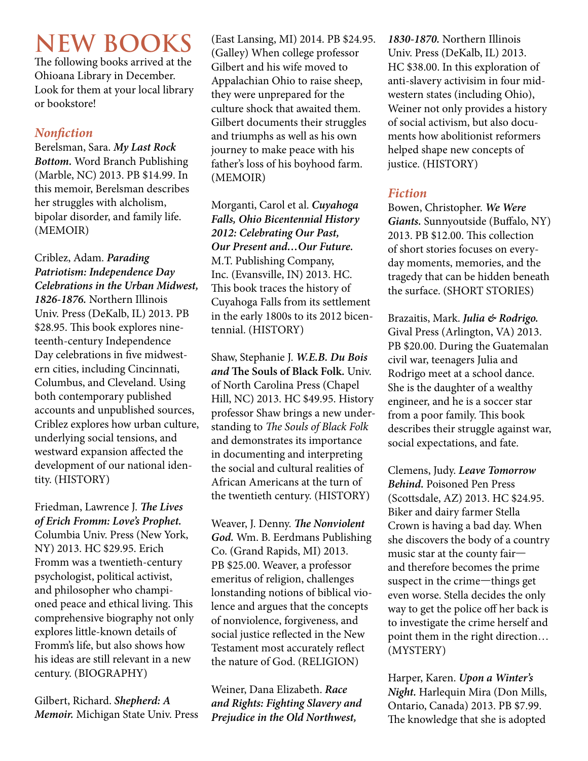# **NEW BOOKS**

The following books arrived at the Ohioana Library in December. Look for them at your local library or bookstore!

### *Nonfiction*

Berelsman, Sara. *My Last Rock Bottom.* Word Branch Publishing (Marble, NC) 2013. PB \$14.99. In this memoir, Berelsman describes her struggles with alcholism, bipolar disorder, and family life. (MEMOIR)

Criblez, Adam. *Parading Patriotism: Independence Day Celebrations in the Urban Midwest, 1826-1876.* Northern Illinois Univ. Press (DeKalb, IL) 2013. PB \$28.95. This book explores nineteenth-century Independence Day celebrations in five midwestern cities, including Cincinnati, Columbus, and Cleveland. Using both contemporary published accounts and unpublished sources, Criblez explores how urban culture, underlying social tensions, and westward expansion affected the development of our national identity. (HISTORY)

Friedman, Lawrence J. *The Lives of Erich Fromm: Love's Prophet.* Columbia Univ. Press (New York, NY) 2013. HC \$29.95. Erich Fromm was a twentieth-century psychologist, political activist, and philosopher who championed peace and ethical living. This comprehensive biography not only explores little-known details of Fromm's life, but also shows how his ideas are still relevant in a new century. (BIOGRAPHY)

Gilbert, Richard. *Shepherd: A Memoir.* Michigan State Univ. Press

(East Lansing, MI) 2014. PB \$24.95. (Galley) When college professor Gilbert and his wife moved to Appalachian Ohio to raise sheep, they were unprepared for the culture shock that awaited them. Gilbert documents their struggles and triumphs as well as his own journey to make peace with his father's loss of his boyhood farm. (MEMOIR)

Morganti, Carol et al. *Cuyahoga Falls, Ohio Bicentennial History 2012: Celebrating Our Past, Our Present and…Our Future.* M.T. Publishing Company, Inc. (Evansville, IN) 2013. HC. This book traces the history of Cuyahoga Falls from its settlement in the early 1800s to its 2012 bicentennial. (HISTORY)

Shaw, Stephanie J. *W.E.B. Du Bois and* **The Souls of Black Folk.** Univ. of North Carolina Press (Chapel Hill, NC) 2013. HC \$49.95. History professor Shaw brings a new understanding to *The Souls of Black Folk* and demonstrates its importance in documenting and interpreting the social and cultural realities of African Americans at the turn of the twentieth century. (HISTORY)

Weaver, J. Denny. *The Nonviolent God.* Wm. B. Eerdmans Publishing Co. (Grand Rapids, MI) 2013. PB \$25.00. Weaver, a professor emeritus of religion, challenges lonstanding notions of biblical violence and argues that the concepts of nonviolence, forgiveness, and social justice reflected in the New Testament most accurately reflect the nature of God. (RELIGION)

Weiner, Dana Elizabeth. *Race and Rights: Fighting Slavery and Prejudice in the Old Northwest,* 

*1830-1870.* Northern Illinois Univ. Press (DeKalb, IL) 2013. HC \$38.00. In this exploration of anti-slavery activisim in four midwestern states (including Ohio), Weiner not only provides a history of social activism, but also documents how abolitionist reformers helped shape new concepts of justice. (HISTORY)

### *Fiction*

Bowen, Christopher. *We Were Giants.* Sunnyoutside (Buffalo, NY) 2013. PB \$12.00. This collection of short stories focuses on everyday moments, memories, and the tragedy that can be hidden beneath the surface. (SHORT STORIES)

Brazaitis, Mark. *Julia & Rodrigo.* Gival Press (Arlington, VA) 2013. PB \$20.00. During the Guatemalan civil war, teenagers Julia and Rodrigo meet at a school dance. She is the daughter of a wealthy engineer, and he is a soccer star from a poor family. This book describes their struggle against war, social expectations, and fate.

Clemens, Judy. *Leave Tomorrow Behind.* Poisoned Pen Press (Scottsdale, AZ) 2013. HC \$24.95. Biker and dairy farmer Stella Crown is having a bad day. When she discovers the body of a country music star at the county fair and therefore becomes the prime suspect in the crime—things get even worse. Stella decides the only way to get the police off her back is to investigate the crime herself and point them in the right direction… (MYSTERY)

Harper, Karen. *Upon a Winter's Night.* Harlequin Mira (Don Mills, Ontario, Canada) 2013. PB \$7.99. The knowledge that she is adopted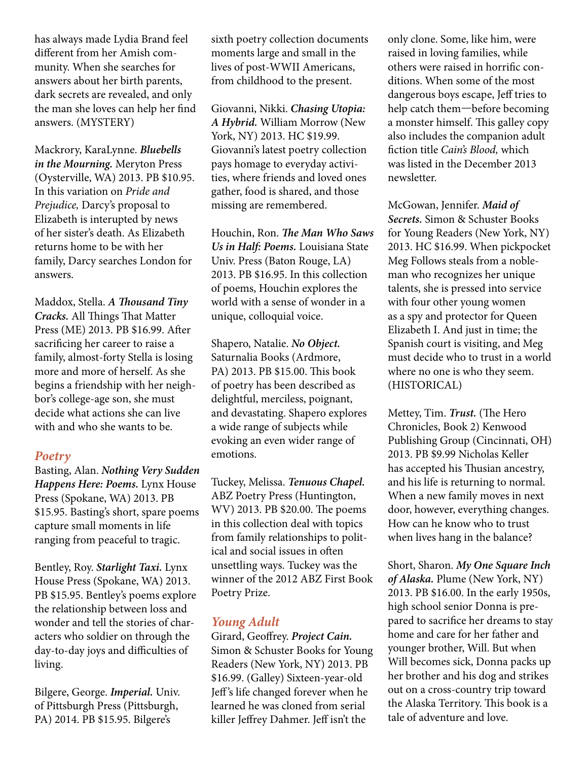has always made Lydia Brand feel different from her Amish community. When she searches for answers about her birth parents, dark secrets are revealed, and only the man she loves can help her find answers. (MYSTERY)

Mackrory, KaraLynne. *Bluebells in the Mourning.* Meryton Press (Oysterville, WA) 2013. PB \$10.95. In this variation on *Pride and Prejudice,* Darcy's proposal to Elizabeth is interupted by news of her sister's death. As Elizabeth returns home to be with her family, Darcy searches London for answers.

Maddox, Stella. *A Thousand Tiny Cracks.* All Things That Matter Press (ME) 2013. PB \$16.99. After sacrificing her career to raise a family, almost-forty Stella is losing more and more of herself. As she begins a friendship with her neighbor's college-age son, she must decide what actions she can live with and who she wants to be.

### *Poetry*

Basting, Alan. *Nothing Very Sudden Happens Here: Poems.* Lynx House Press (Spokane, WA) 2013. PB \$15.95. Basting's short, spare poems capture small moments in life ranging from peaceful to tragic.

Bentley, Roy. *Starlight Taxi.* Lynx House Press (Spokane, WA) 2013. PB \$15.95. Bentley's poems explore the relationship between loss and wonder and tell the stories of characters who soldier on through the day-to-day joys and difficulties of living.

Bilgere, George. *Imperial.* Univ. of Pittsburgh Press (Pittsburgh, PA) 2014. PB \$15.95. Bilgere's

sixth poetry collection documents moments large and small in the lives of post-WWII Americans, from childhood to the present.

Giovanni, Nikki. *Chasing Utopia: A Hybrid.* William Morrow (New York, NY) 2013. HC \$19.99. Giovanni's latest poetry collection pays homage to everyday activities, where friends and loved ones gather, food is shared, and those missing are remembered.

Houchin, Ron. *The Man Who Saws Us in Half: Poems.* Louisiana State Univ. Press (Baton Rouge, LA) 2013. PB \$16.95. In this collection of poems, Houchin explores the world with a sense of wonder in a unique, colloquial voice.

Shapero, Natalie. *No Object.* Saturnalia Books (Ardmore, PA) 2013. PB \$15.00. This book of poetry has been described as delightful, merciless, poignant, and devastating. Shapero explores a wide range of subjects while evoking an even wider range of emotions.

Tuckey, Melissa. *Tenuous Chapel.* ABZ Poetry Press (Huntington, WV) 2013. PB \$20.00. The poems in this collection deal with topics from family relationships to political and social issues in often unsettling ways. Tuckey was the winner of the 2012 ABZ First Book Poetry Prize.

### *Young Adult*

Girard, Geoffrey. *Project Cain.* Simon & Schuster Books for Young Readers (New York, NY) 2013. PB \$16.99. (Galley) Sixteen-year-old Jeff 's life changed forever when he learned he was cloned from serial killer Jeffrey Dahmer. Jeff isn't the

only clone. Some, like him, were raised in loving families, while others were raised in horrific conditions. When some of the most dangerous boys escape, Jeff tries to help catch them—before becoming a monster himself. This galley copy also includes the companion adult fiction title *Cain's Blood,* which was listed in the December 2013 newsletter.

McGowan, Jennifer. *Maid of Secrets.* Simon & Schuster Books for Young Readers (New York, NY) 2013. HC \$16.99. When pickpocket Meg Follows steals from a nobleman who recognizes her unique talents, she is pressed into service with four other young women as a spy and protector for Queen Elizabeth I. And just in time; the Spanish court is visiting, and Meg must decide who to trust in a world where no one is who they seem. (HISTORICAL)

Mettey, Tim. *Trust.* (The Hero Chronicles, Book 2) Kenwood Publishing Group (Cincinnati, OH) 2013. PB \$9.99 Nicholas Keller has accepted his Thusian ancestry, and his life is returning to normal. When a new family moves in next door, however, everything changes. How can he know who to trust when lives hang in the balance?

Short, Sharon. *My One Square Inch of Alaska.* Plume (New York, NY) 2013. PB \$16.00. In the early 1950s, high school senior Donna is prepared to sacrifice her dreams to stay home and care for her father and younger brother, Will. But when Will becomes sick, Donna packs up her brother and his dog and strikes out on a cross-country trip toward the Alaska Territory. This book is a tale of adventure and love.